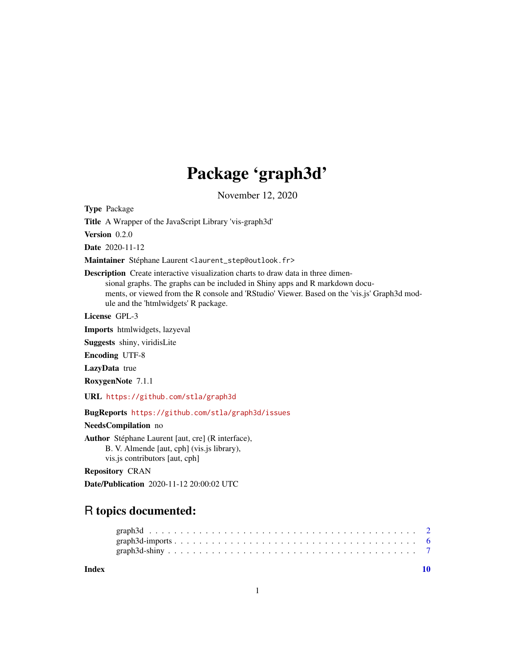# Package 'graph3d'

November 12, 2020

Type Package

Title A Wrapper of the JavaScript Library 'vis-graph3d'

Version 0.2.0

Date 2020-11-12

Maintainer Stéphane Laurent <laurent\_step@outlook.fr>

Description Create interactive visualization charts to draw data in three dimensional graphs. The graphs can be included in Shiny apps and R markdown documents, or viewed from the R console and 'RStudio' Viewer. Based on the 'vis.js' Graph3d module and the 'htmlwidgets' R package.

License GPL-3

Imports htmlwidgets, lazyeval

Suggests shiny, viridisLite

Encoding UTF-8

LazyData true

RoxygenNote 7.1.1

URL <https://github.com/stla/graph3d>

BugReports <https://github.com/stla/graph3d/issues>

NeedsCompilation no

Author Stéphane Laurent [aut, cre] (R interface),

B. V. Almende [aut, cph] (vis.js library), vis.js contributors [aut, cph]

Repository CRAN

Date/Publication 2020-11-12 20:00:02 UTC

# R topics documented:

### $\blacksquare$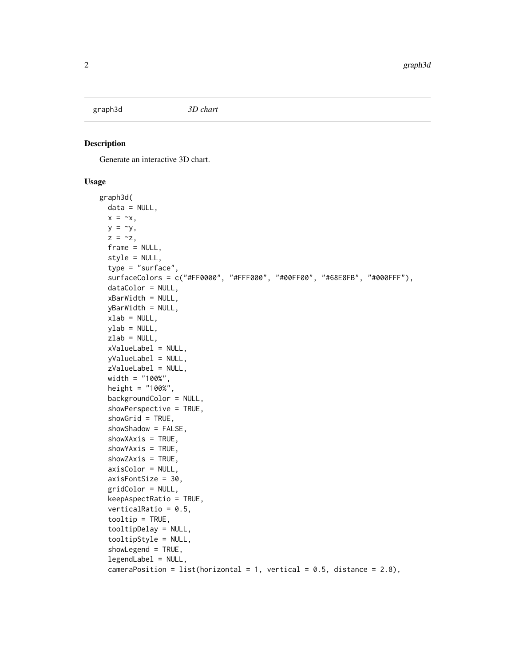<span id="page-1-1"></span><span id="page-1-0"></span>graph3d *3D chart*

# Description

Generate an interactive 3D chart.

## Usage

```
graph3d(
 data = NULL,
  x = -x,
 y = \gammaz = -z,
  frame = NULL,style = NULL,
  type = "surface",
  surfaceColors = c("#FF0000", "#FFF000", "#00FF00", "#68E8FB", "#000FFF"),
  dataColor = NULL,
  xBarWidth = NULL,
  yBarWidth = NULL,
  xlab = NULL,
  ylab = NULL,
  zlab = NULL,xValueLabel = NULL,
  yValueLabel = NULL,
  zValueLabel = NULL,
  width = "100%",
  height = "100%",
  backgroundColor = NULL,
  showPerspective = TRUE,
  showGrid = TRUE,showShadow = FALSE,
  showXAxis = TRUE,
  showYAxis = TRUE,
  showZAxis = TRUE,
  axisColor = NULL,
  axisFontSize = 30,
  gridColor = NULL,
  keepAspectRatio = TRUE,
  verticalRatio = 0.5,
  tooltip = TRUE,
  tooltipDelay = NULL,
  tooltipStyle = NULL,
  showLegend = TRUE,
  legendLabel = NULL,
  cameraPosition = list(horizontal = 1, vertical = 0.5, distance = 2.8),
```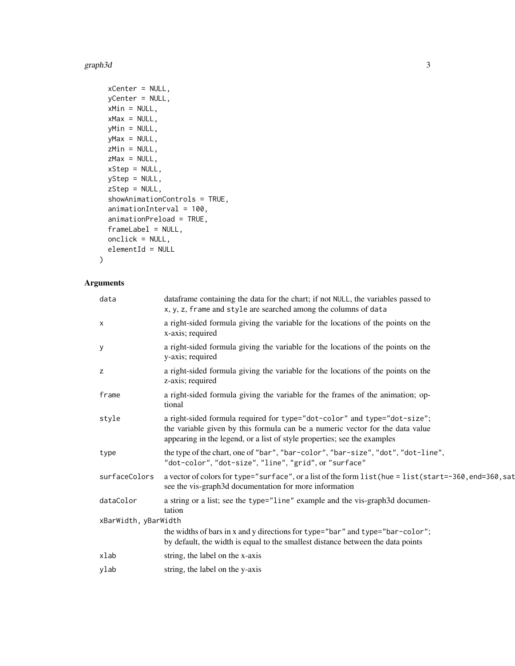#### graph3d  $\overline{3}$

```
xCenter = NULL,
yCenter = NULL,
xMin = NULL,xMax = NULL,
yMin = NULL,
yMax = NULL,
zMin = NULL,
zMax = NULL,
xStep = NULL,
yStep = NULL,
zStep = NULL,
showAnimationControls = TRUE,
animationInterval = 100,
animationPreload = TRUE,
frameLabel = NULL,
onclick = NULL,
elementId = NULL
```
# Arguments

 $\mathcal{L}$ 

| dataframe containing the data for the chart; if not NULL, the variables passed to<br>x, y, z, frame and style are searched among the columns of data                                                                                  |  |  |  |
|---------------------------------------------------------------------------------------------------------------------------------------------------------------------------------------------------------------------------------------|--|--|--|
| a right-sided formula giving the variable for the locations of the points on the<br>x-axis; required                                                                                                                                  |  |  |  |
| a right-sided formula giving the variable for the locations of the points on the<br>y-axis; required                                                                                                                                  |  |  |  |
| a right-sided formula giving the variable for the locations of the points on the<br>z-axis; required                                                                                                                                  |  |  |  |
| a right-sided formula giving the variable for the frames of the animation; op-<br>tional                                                                                                                                              |  |  |  |
| a right-sided formula required for type="dot-color" and type="dot-size";<br>the variable given by this formula can be a numeric vector for the data value<br>appearing in the legend, or a list of style properties; see the examples |  |  |  |
| the type of the chart, one of "bar", "bar-color", "bar-size", "dot", "dot-line",<br>"dot-color", "dot-size", "line", "grid", or "surface"                                                                                             |  |  |  |
| a vector of colors for type="surface", or a list of the form list (hue = list (start=-360, end=360, sat<br>see the vis-graph3d documentation for more information                                                                     |  |  |  |
| a string or a list; see the type="line" example and the vis-graph3d documen-<br>tation                                                                                                                                                |  |  |  |
| xBarWidth, yBarWidth                                                                                                                                                                                                                  |  |  |  |
| the widths of bars in x and y directions for type="bar" and type="bar-color";<br>by default, the width is equal to the smallest distance between the data points                                                                      |  |  |  |
| string, the label on the x-axis                                                                                                                                                                                                       |  |  |  |
| string, the label on the y-axis                                                                                                                                                                                                       |  |  |  |
|                                                                                                                                                                                                                                       |  |  |  |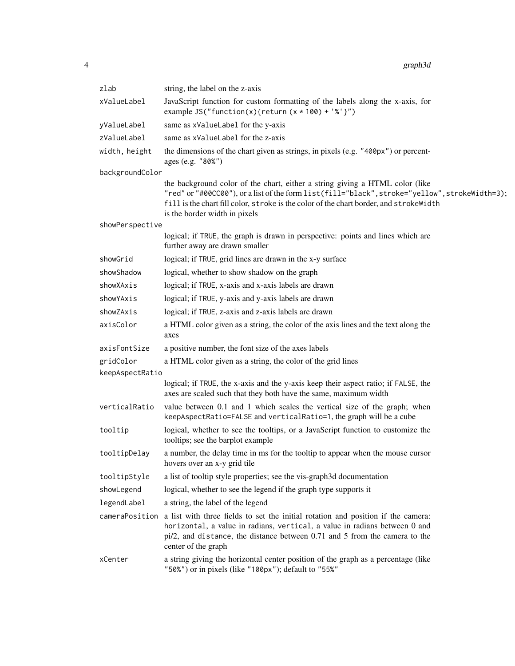| zlab            | string, the label on the z-axis                                                                                                                                                                                                                                                                           |
|-----------------|-----------------------------------------------------------------------------------------------------------------------------------------------------------------------------------------------------------------------------------------------------------------------------------------------------------|
| xValueLabel     | JavaScript function for custom formatting of the labels along the x-axis, for<br>example JS("function(x){return(x $*$ 100) + '%'}")                                                                                                                                                                       |
| yValueLabel     | same as xValueLabel for the y-axis                                                                                                                                                                                                                                                                        |
| zValueLabel     | same as xValueLabel for the z-axis                                                                                                                                                                                                                                                                        |
| width, height   | the dimensions of the chart given as strings, in pixels (e.g. "400px") or percent-<br>ages (e.g. "80%")                                                                                                                                                                                                   |
| backgroundColor |                                                                                                                                                                                                                                                                                                           |
|                 | the background color of the chart, either a string giving a HTML color (like<br>"red" or "#00CC00"), or a list of the form list(fill="black", stroke="yellow", strokeWidth=3);<br>fill is the chart fill color, stroke is the color of the chart border, and strokeWidth<br>is the border width in pixels |
| showPerspective |                                                                                                                                                                                                                                                                                                           |
|                 | logical; if TRUE, the graph is drawn in perspective: points and lines which are<br>further away are drawn smaller                                                                                                                                                                                         |
| showGrid        | logical; if TRUE, grid lines are drawn in the x-y surface                                                                                                                                                                                                                                                 |
| showShadow      | logical, whether to show shadow on the graph                                                                                                                                                                                                                                                              |
| showXAxis       | logical; if TRUE, x-axis and x-axis labels are drawn                                                                                                                                                                                                                                                      |
| showYAxis       | logical; if TRUE, y-axis and y-axis labels are drawn                                                                                                                                                                                                                                                      |
| showZAxis       | logical; if TRUE, z-axis and z-axis labels are drawn                                                                                                                                                                                                                                                      |
| axisColor       | a HTML color given as a string, the color of the axis lines and the text along the<br>axes                                                                                                                                                                                                                |
| axisFontSize    | a positive number, the font size of the axes labels                                                                                                                                                                                                                                                       |
| gridColor       | a HTML color given as a string, the color of the grid lines                                                                                                                                                                                                                                               |
| keepAspectRatio |                                                                                                                                                                                                                                                                                                           |
|                 | logical; if TRUE, the x-axis and the y-axis keep their aspect ratio; if FALSE, the<br>axes are scaled such that they both have the same, maximum width                                                                                                                                                    |
| verticalRatio   | value between 0.1 and 1 which scales the vertical size of the graph; when<br>keepAspectRatio=FALSE and verticalRatio=1, the graph will be a cube                                                                                                                                                          |
| tooltip         | logical, whether to see the tooltips, or a JavaScript function to customize the<br>tooltips; see the barplot example                                                                                                                                                                                      |
| tooltipDelay    | a number, the delay time in ms for the tooltip to appear when the mouse cursor<br>hovers over an x-y grid tile                                                                                                                                                                                            |
| tooltipStyle    | a list of tooltip style properties; see the vis-graph3d documentation                                                                                                                                                                                                                                     |
| showLegend      | logical, whether to see the legend if the graph type supports it                                                                                                                                                                                                                                          |
| legendLabel     | a string, the label of the legend                                                                                                                                                                                                                                                                         |
| cameraPosition  | a list with three fields to set the initial rotation and position if the camera:<br>horizontal, a value in radians, vertical, a value in radians between 0 and<br>$pi/2$ , and distance, the distance between 0.71 and 5 from the camera to the<br>center of the graph                                    |
| xCenter         | a string giving the horizontal center position of the graph as a percentage (like<br>"50%") or in pixels (like "100px"); default to "55%"                                                                                                                                                                 |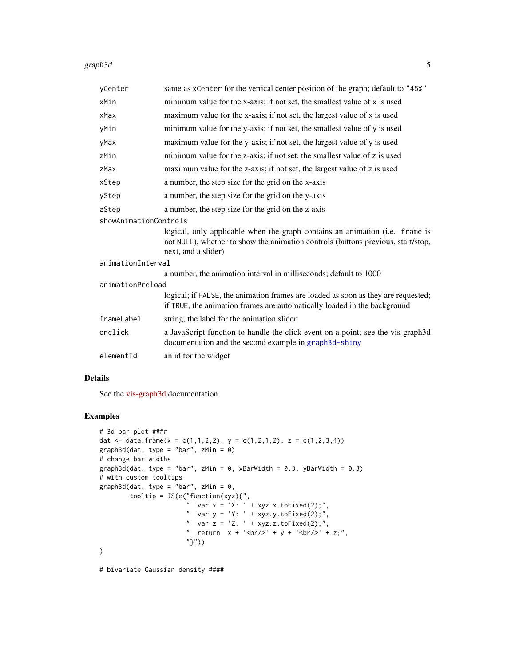#### graph3d 5

| yCenter               | same as xCenter for the vertical center position of the graph; default to "45%"                                                                                                         |  |  |  |
|-----------------------|-----------------------------------------------------------------------------------------------------------------------------------------------------------------------------------------|--|--|--|
| xMin                  | minimum value for the x-axis; if not set, the smallest value of $x$ is used                                                                                                             |  |  |  |
| xMax                  | maximum value for the x-axis; if not set, the largest value of x is used                                                                                                                |  |  |  |
| yMin                  | minimum value for the y-axis; if not set, the smallest value of y is used                                                                                                               |  |  |  |
| yMax                  | maximum value for the y-axis; if not set, the largest value of y is used                                                                                                                |  |  |  |
| zMin                  | minimum value for the z-axis; if not set, the smallest value of z is used                                                                                                               |  |  |  |
| zMax                  | maximum value for the z-axis; if not set, the largest value of z is used                                                                                                                |  |  |  |
| xStep                 | a number, the step size for the grid on the x-axis                                                                                                                                      |  |  |  |
| yStep                 | a number, the step size for the grid on the y-axis                                                                                                                                      |  |  |  |
| zStep                 | a number, the step size for the grid on the z-axis                                                                                                                                      |  |  |  |
| showAnimationControls |                                                                                                                                                                                         |  |  |  |
|                       | logical, only applicable when the graph contains an animation (i.e. frame is<br>not NULL), whether to show the animation controls (buttons previous, start/stop,<br>next, and a slider) |  |  |  |
| animationInterval     |                                                                                                                                                                                         |  |  |  |
|                       | a number, the animation interval in milliseconds; default to 1000                                                                                                                       |  |  |  |
| animationPreload      |                                                                                                                                                                                         |  |  |  |
|                       | logical; if FALSE, the animation frames are loaded as soon as they are requested;<br>if TRUE, the animation frames are automatically loaded in the background                           |  |  |  |
| frameLabel            | string, the label for the animation slider                                                                                                                                              |  |  |  |
| onclick               | a JavaScript function to handle the click event on a point; see the vis-graph3d<br>documentation and the second example in graph3d-shiny                                                |  |  |  |
| elementId             | an id for the widget                                                                                                                                                                    |  |  |  |

# Details

See the [vis-graph3d](https://visjs.github.io/vis-graph3d/docs/graph3d/index.html#Configuration_Options) documentation.

# Examples

```
# 3d bar plot ####
dat <- data.frame(x = c(1,1,2,2), y = c(1,2,1,2), z = c(1,2,3,4))
graph3d(data, type = "bar", zMin = 0)# change bar widths
graph3d(dat, type = "bar", zMin = 0, xBarWidth = 0.3, yBarWidth = 0.3)
# with custom tooltips
graph3d(dat, type = "bar", zMin = 0,
         tooltip = JS(c("function(xyz){",
                        " var x = 'X: ' + xyz.x.toFixed(2);"," var y = 'Y: ' + xyz.y.toFixed(2);",
                        " var z = 'Z: ' + xyz.z. to Fixed(2);",
                        " return x + ' <br/>br/>' + y + ' <br/> \times + z;",
                        "}"))
\mathcal{L}
```
# bivariate Gaussian density ####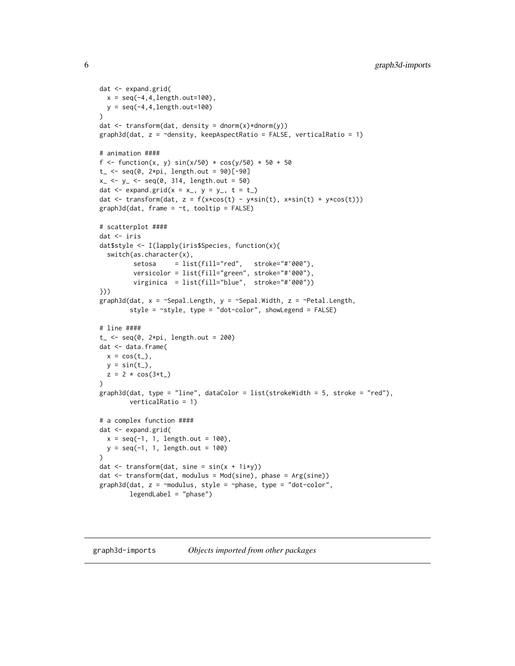```
dat <- expand.grid(
 x = seq(-4, 4, length.out = 100),
 y = seq(-4, 4, length.out=100)\lambdadat \leq transform(dat, density = dnorm(x)*dnorm(y))
graph3d(data, z = \neg density, keepAspectRatio = FALSE, verticalRatio = 1)# animation ####
f <- function(x, y) sin(x/50) * cos(y/50) * 50 + 50t_{-} <- seq(0, 2*pi, length.out = 90)[-90]
x_{-} <- y_{-} <- seq(0, 314, length.out = 50)dat \leq expand.grid(x = x<sub>-</sub>, y = y<sub>-</sub>, t = t<sub>-</sub>)
dat <- transform(dat, z = f(x*cos(t) - y*sin(t), x*sin(t) + y*cos(t)))
graph3d(data, frame = ~t, tooltip = FALSE)# scatterplot ####
dat <- iris
dat$style <- I(lapply(iris$Species, function(x){
  switch(as.character(x),
         setosa = list(fill="red", stroke="#'000"),
         versicolor = list(fill="green", stroke="#'000"),
         virginica = list(fill="blue", stroke="#'000"))
}))
graph3d(dat, x = \inftySepal.Length, y = \inftySepal.Width, z = \inftyPetal.Length,
        style = ~style, type = "dot-color", showLegend = FALSE)
# line ####
t_{-} <- seq(0, 2*pi, length.out = 200)
dat <- data.frame(
 x = cos(t_),
 y = sin(t_),
  z = 2 * cos(3*t)\lambdagraph3d(data, type = "line", dataColor = list(strokewidth = 5, stroke = "red"),verticalRatio = 1)
# a complex function ####
dat <- expand.grid(
  x = seq(-1, 1, length.out = 100),
  y = seq(-1, 1, length.out = 100))
dat <- transform(dat, sine = sin(x + 1i*y))
dat <- transform(dat, modulus = Mod(sine), phase = Arg(sine))
graph3d(dat, z = ~modulus, style = ~phase, type = "dot-color",
        legendLabel = "phase")
```
#### <span id="page-5-1"></span>graph3d-imports *Objects imported from other packages*

<span id="page-5-0"></span>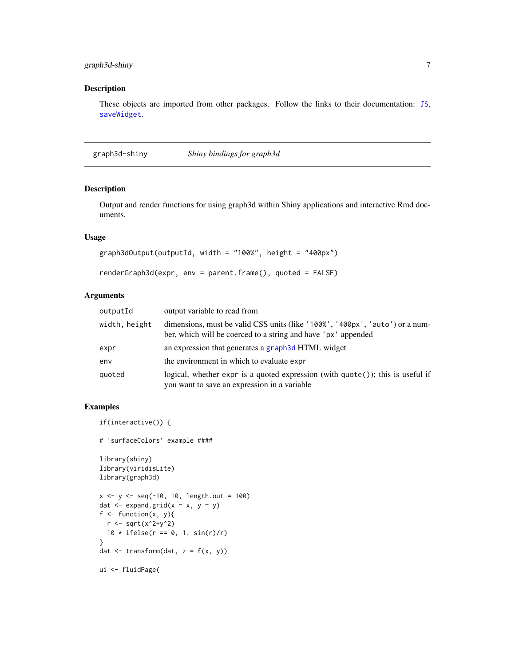# <span id="page-6-0"></span>graph3d-shiny 7

# Description

These objects are imported from other packages. Follow the links to their documentation: [JS](#page-5-1), [saveWidget](#page-5-1).

<span id="page-6-1"></span>graph3d-shiny *Shiny bindings for graph3d*

# Description

Output and render functions for using graph3d within Shiny applications and interactive Rmd documents.

# Usage

```
graph3dOutput(outputId, width = "100%", height = "400px")renderGraph3d(expr, env = parent.frame(), quoted = FALSE)
```
# Arguments

| outputId      | output variable to read from                                                                                                                  |
|---------------|-----------------------------------------------------------------------------------------------------------------------------------------------|
| width, height | dimensions, must be valid CSS units (like '100%', '400px', 'auto') or a num-<br>ber, which will be coerced to a string and have 'px' appended |
| expr          | an expression that generates a graph 3d HTML widget                                                                                           |
| env           | the environment in which to evaluate expr                                                                                                     |
| quoted        | logical, whether expr is a quoted expression (with quote()); this is useful if<br>you want to save an expression in a variable                |

# Examples

```
if(interactive()) {
# 'surfaceColors' example ####
library(shiny)
library(viridisLite)
library(graph3d)
x \le -y \le -\text{seq}(-10, 10, \text{length.out} = 100)dat \leq expand.grid(x = x, y = y)
f \leftarrow function(x, y){
  r <- sqrt(x^2+y^2)
  10 * ifelse(r == 0, 1, sin(r)/r)}
dat \leq transform(dat, z = f(x, y))
ui <- fluidPage(
```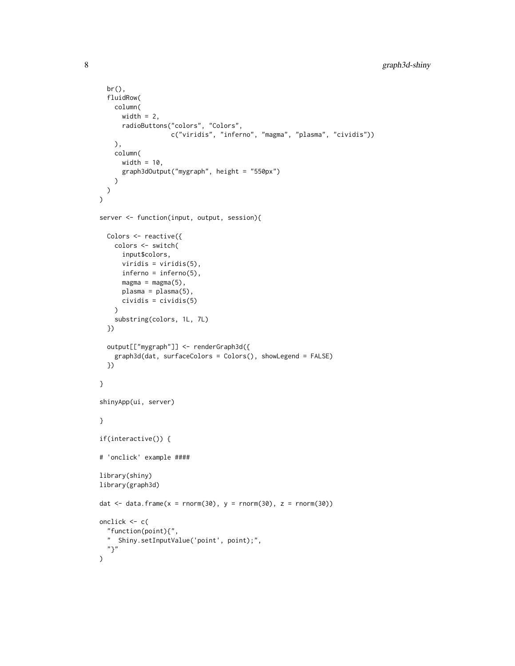```
br(),
  fluidRow(
   column(
      width = 2,
      radioButtons("colors", "Colors",
                   c("viridis", "inferno", "magma", "plasma", "cividis"))
   ),
   column(
     width = 10,
      graph3dOutput("mygraph", height = "550px")
   )
 )
)
server <- function(input, output, session){
 Colors <- reactive({
   colors <- switch(
      input$colors,
      viridis = viridis(5),
     inferno = inferno(5),
     magna = magna(5),
     plasma = plasma(5),
     cividis = cividis(5)
   \lambdasubstring(colors, 1L, 7L)
  })
  output[["mygraph"]] <- renderGraph3d({
   graph3d(dat, surfaceColors = Colors(), showLegend = FALSE)
  })
}
shinyApp(ui, server)
}
if(interactive()) {
# 'onclick' example ####
library(shiny)
library(graph3d)
dat \le data.frame(x = rnorm(30), y = rnorm(30), z = rnorm(30))
onclick <- c(
  "function(point){",
  " Shiny.setInputValue('point', point);",
  "}"
)
```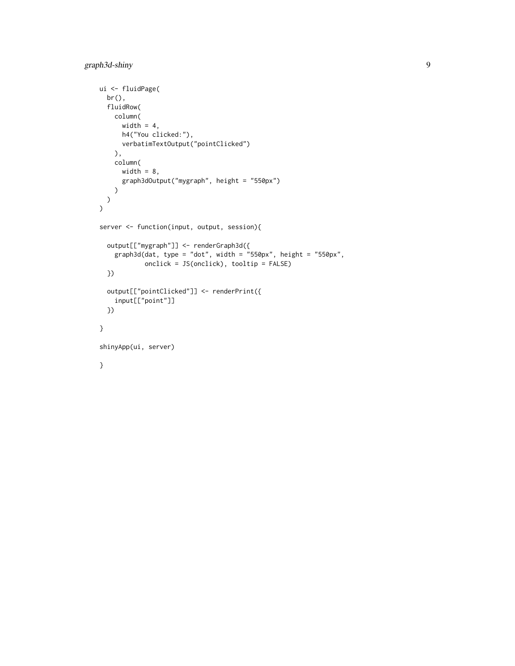```
ui <- fluidPage(
 br(),
 fluidRow(
   column(
     width = 4,
     h4("You clicked:"),
     verbatimTextOutput("pointClicked")
   ),
   column(
     width = 8,
      graph3dOutput("mygraph", height = "550px")
   )
  )
)
server <- function(input, output, session){
  output[["mygraph"]] <- renderGraph3d({
   graph3d(data, type = "dot", width = "550px", height = "550px",onclick = JS(onclick), tooltip = FALSE)
  })
  output[["pointClicked"]] <- renderPrint({
   input[["point"]]
  })
}
shinyApp(ui, server)
}
```